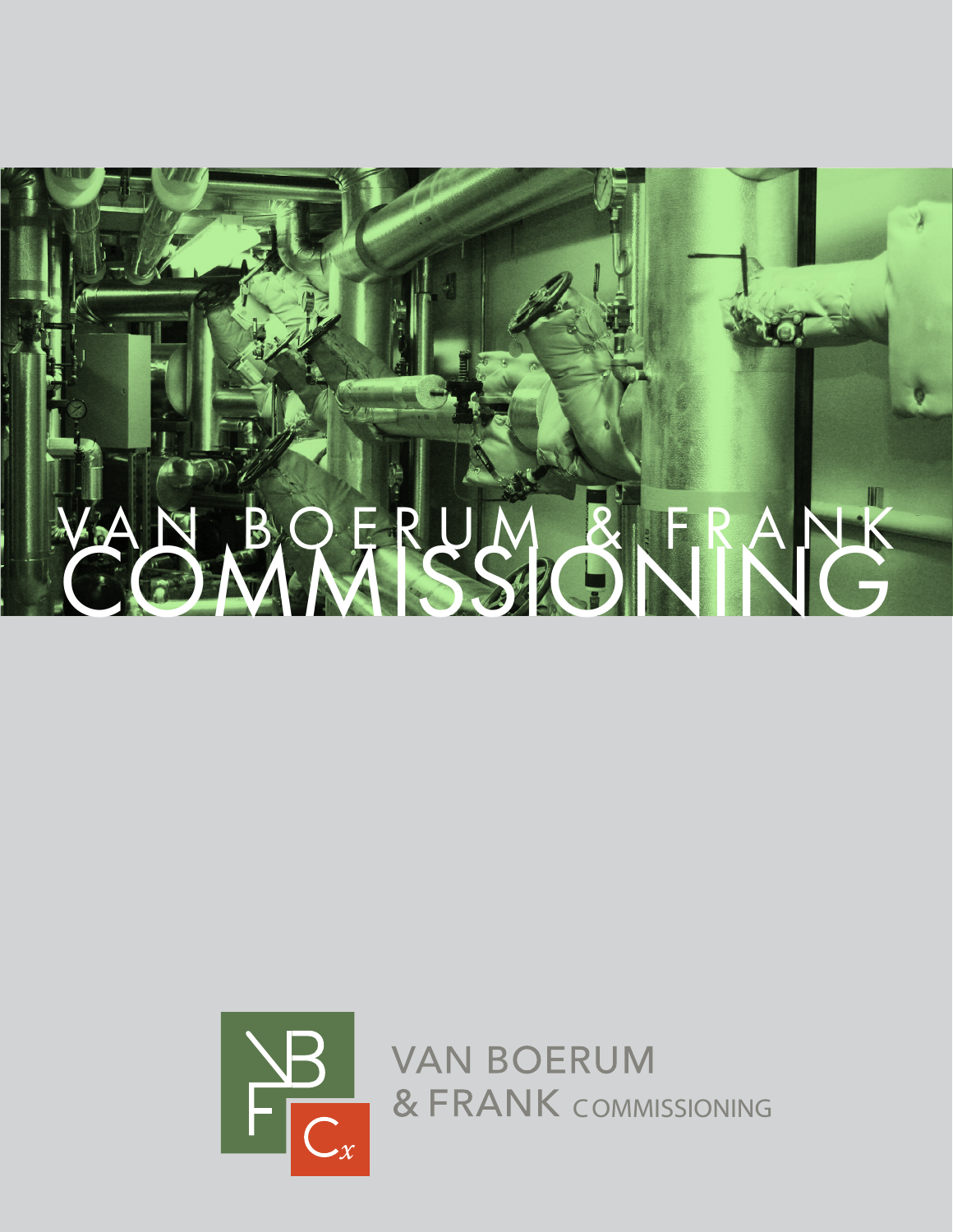



**VAN BOERUM** & FRANK COMMISSIONING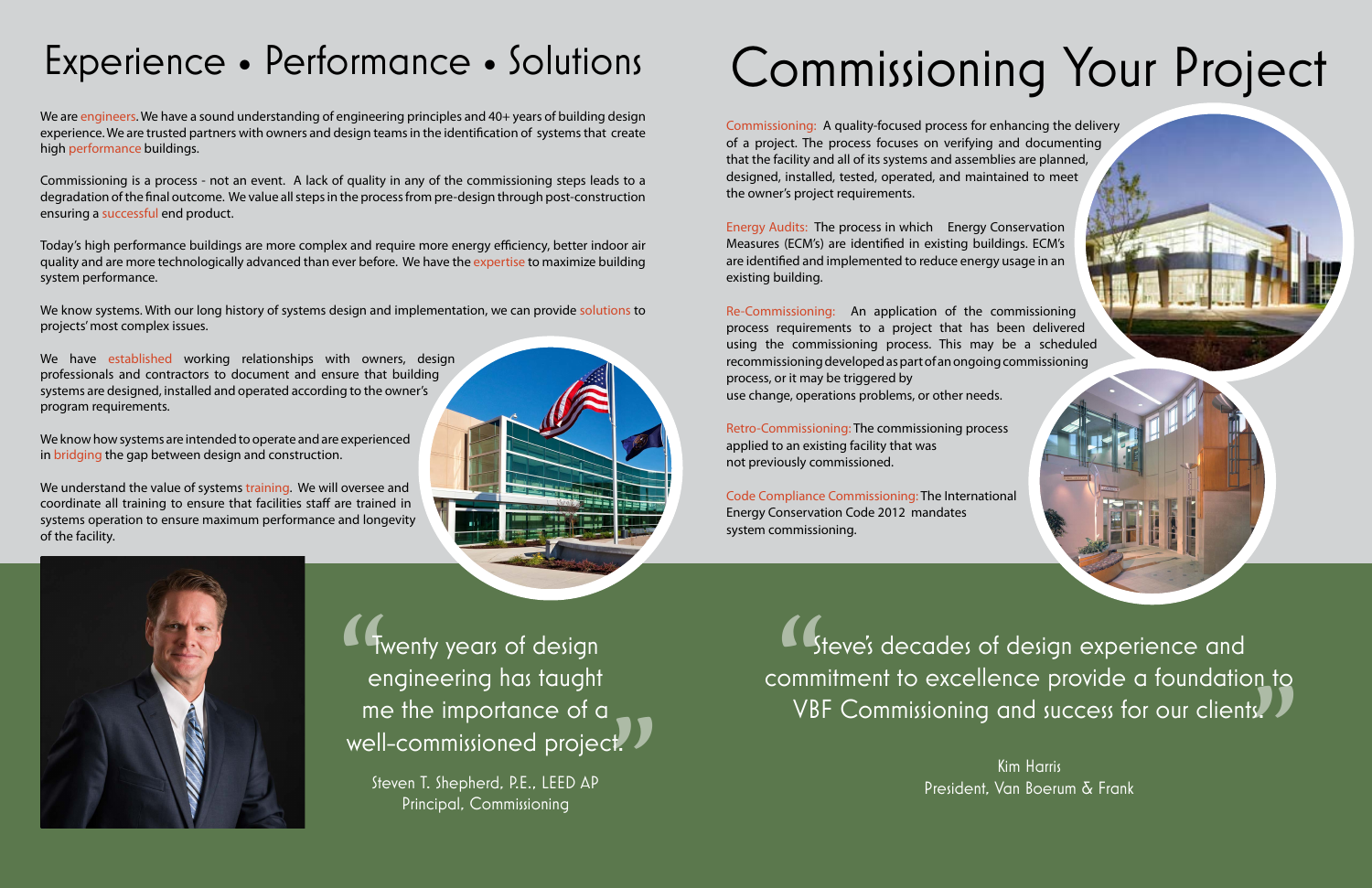## Experience • Performance • Solutions

We are engineers. We have a sound understanding of engineering principles and 40+ years of building design experience. We are trusted partners with owners and design teams in the identification of systems that create high performance buildings.

Commissioning is a process - not an event. A lack of quality in any of the commissioning steps leads to a degradation of the final outcome. We value all steps in the process from pre-design through post-construction ensuring a successful end product.

We know systems. With our long history of systems design and implementation, we can provide solutions to projects' most complex issues.

We have established working relationships with owners, design professionals and contractors to document and ensure that building systems are designed, installed and operated according to the owner's program requirements.

Today's high performance buildings are more complex and require more energy efficiency, better indoor air quality and are more technologically advanced than ever before. We have the expertise to maximize building system performance.

We understand the value of systems training. We will oversee and coordinate all training to ensure that facilities staff are trained in systems operation to ensure maximum performance and longevity of the facility.



We know how systems are intended to operate and are experienced in bridging the gap between design and construction.

> "  $\begin{pmatrix} 1 \\ 2 \end{pmatrix}$ Steve's decades of design experience and commitment to excellence provide a foundation to VBF Commissioning and success for our clients.

" Twenty years of design "<br>" engineering has taught me the importance of a well-commissioned project.

Steven T. Shepherd, P.E., LEED AP Principal, Commissioning

## Commissioning Your Project

Commissioning: A quality-focused process for enhancing the delivery of a project. The process focuses on verifying and documenting that the facility and all of its systems and assemblies are planned, designed, installed, tested, operated, and maintained to meet the owner's project requirements.

Energy Audits: The process in which Energy Conservation Measures (ECM's) are identified in existing buildings. ECM's are identified and implemented to reduce energy usage in an existing building.

Re-Commissioning: An application of the commissioning process requirements to a project that has been delivered using the commissioning process. This may be a scheduled recommissioning developed as part of an ongoing commissioning process, or it may be triggered by use change, operations problems, or other needs.

Retro-Commissioning: The commissioning process applied to an existing facility that was not previously commissioned.

Code Compliance Commissioning: The International Energy Conservation Code 2012 mandates system commissioning.



Kim Harris President, Van Boerum & Frank